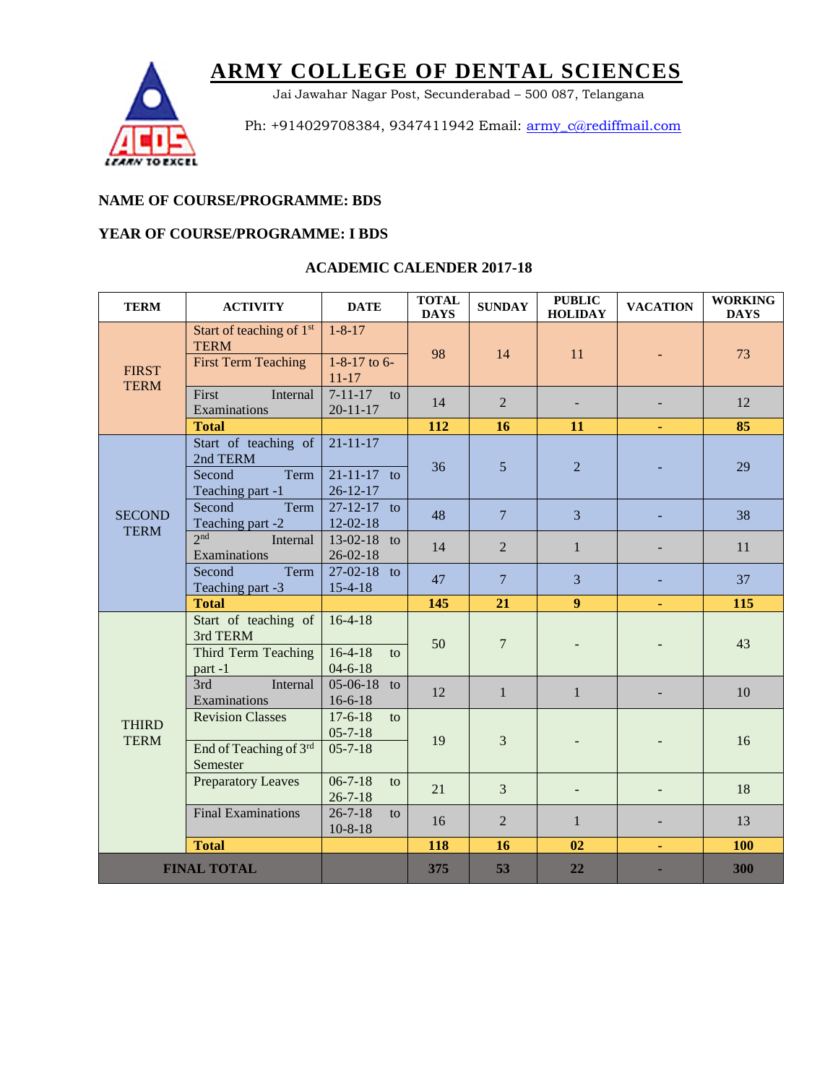

Jai Jawahar Nagar Post, Secunderabad – 500 087, Telangana

Ph: +914029708384, 9347411942 Email: [army\\_c@rediffmail.com](mailto:army_c@rediffmail.com)

### **NAME OF COURSE/PROGRAMME: BDS**

### **YEAR OF COURSE/PROGRAMME: I BDS**

| <b>TERM</b>                  | <b>ACTIVITY</b>                                                         | <b>DATE</b>                                           | <b>TOTAL</b><br><b>DAYS</b> | <b>SUNDAY</b>   | <b>PUBLIC</b><br><b>HOLIDAY</b> | <b>VACATION</b> | <b>WORKING</b><br><b>DAYS</b> |
|------------------------------|-------------------------------------------------------------------------|-------------------------------------------------------|-----------------------------|-----------------|---------------------------------|-----------------|-------------------------------|
| <b>FIRST</b><br><b>TERM</b>  | Start of teaching of $1st$<br><b>TERM</b><br><b>First Term Teaching</b> | $1 - 8 - 17$<br>$1 - 8 - 17$ to 6-<br>$11 - 17$       | 98                          | 14              | 11                              |                 | 73                            |
|                              | First<br>Internal<br>Examinations                                       | $7 - 11 - 17$<br>to<br>$20 - 11 - 17$                 | 14                          | $\overline{2}$  |                                 |                 | 12                            |
|                              | <b>Total</b>                                                            |                                                       | 112                         | 16              | 11                              | ٠               | 85                            |
| <b>SECOND</b><br><b>TERM</b> | Start of teaching of<br>2nd TERM<br>Term<br>Second<br>Teaching part -1  | $21 - 11 - 17$<br>$21 - 11 - 17$ to<br>$26 - 12 - 17$ | 36                          | 5               | $\overline{2}$                  |                 | 29                            |
|                              | Term<br>Second<br>Teaching part -2                                      | 27-12-17 to<br>$12 - 02 - 18$                         | 48                          | $7\phantom{.0}$ | 3                               |                 | 38                            |
|                              | 2nd<br>Internal<br>Examinations                                         | 13-02-18 to<br>$26 - 02 - 18$                         | 14                          | $\overline{2}$  | 1                               |                 | 11                            |
|                              | Term<br>Second<br>Teaching part -3                                      | 27-02-18 to<br>$15 - 4 - 18$                          | 47                          | $7\phantom{.0}$ | 3                               |                 | 37                            |
|                              | <b>Total</b>                                                            |                                                       | 145                         | 21              | $\boldsymbol{9}$                |                 | 115                           |
| <b>THIRD</b><br><b>TERM</b>  | Start of teaching of<br>3rd TERM<br>Third Term Teaching<br>part-1       | $16-4-18$<br>$16-4-18$<br>to<br>$04 - 6 - 18$         | 50                          | $\overline{7}$  |                                 |                 | 43                            |
|                              | 3rd<br>Internal<br>Examinations                                         | 05-06-18 to<br>$16 - 6 - 18$                          | 12                          | $\mathbf{1}$    | 1                               |                 | 10                            |
|                              | <b>Revision Classes</b><br>End of Teaching of 3rd<br>Semester           | $17 - 6 - 18$<br>to<br>$05 - 7 - 18$<br>$05 - 7 - 18$ | 19                          | 3               |                                 |                 | 16                            |
|                              | <b>Preparatory Leaves</b>                                               | $06 - 7 - 18$<br>to<br>$26 - 7 - 18$                  | 21                          | 3               |                                 |                 | 18                            |
|                              | <b>Final Examinations</b>                                               | $26 - 7 - 18$<br>to<br>$10 - 8 - 18$                  | 16                          | $\overline{2}$  | 1                               |                 | 13                            |
|                              | <b>Total</b>                                                            |                                                       | 118                         | 16              | 02                              | ä               | <b>100</b>                    |
| <b>FINAL TOTAL</b>           |                                                                         |                                                       | 375                         | 53              | 22                              |                 | 300                           |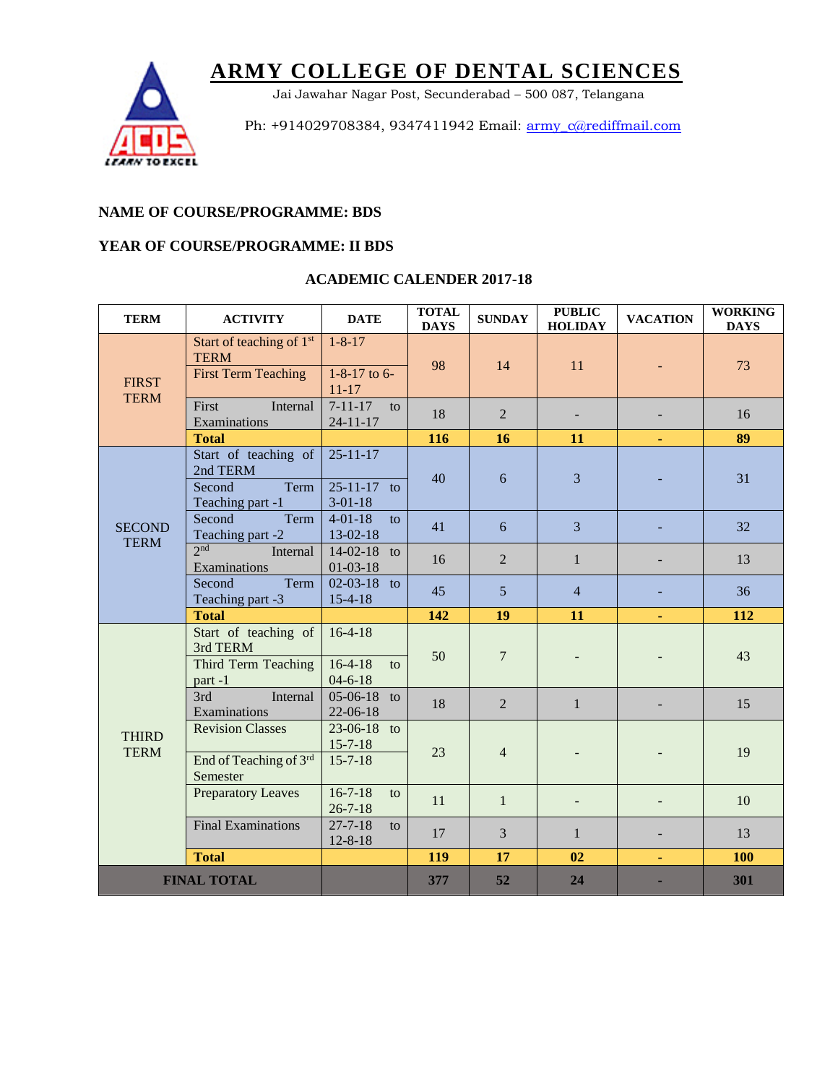

Jai Jawahar Nagar Post, Secunderabad – 500 087, Telangana

Ph: +914029708384, 9347411942 Email: [army\\_c@rediffmail.com](mailto:army_c@rediffmail.com)

## **NAME OF COURSE/PROGRAMME: BDS**

#### **YEAR OF COURSE/PROGRAMME: II BDS**

| <b>TERM</b>                  | <b>ACTIVITY</b>                                                                   | <b>DATE</b>                                          | <b>TOTAL</b><br><b>DAYS</b> | <b>SUNDAY</b>  | <b>PUBLIC</b><br><b>HOLIDAY</b> | <b>VACATION</b> | <b>WORKING</b><br><b>DAYS</b> |
|------------------------------|-----------------------------------------------------------------------------------|------------------------------------------------------|-----------------------------|----------------|---------------------------------|-----------------|-------------------------------|
| <b>FIRST</b><br><b>TERM</b>  | Start of teaching of 1 <sup>st</sup><br><b>TERM</b><br><b>First Term Teaching</b> | $1 - 8 - 17$<br>$1 - 8 - 17$ to 6-<br>$11 - 17$      | 98                          | 14             | 11                              |                 | 73                            |
|                              | First<br>Internal<br>Examinations                                                 | $7 - 11 - 17$<br>to<br>$24 - 11 - 17$                | 18                          | $\overline{2}$ |                                 |                 | 16                            |
|                              | <b>Total</b>                                                                      |                                                      | 116                         | 16             | 11                              | ٠               | 89                            |
| <b>SECOND</b><br><b>TERM</b> | Start of teaching of<br>2nd TERM<br>Term<br>Second<br>Teaching part -1            | $25 - 11 - 17$<br>$25 - 11 - 17$ to<br>$3 - 01 - 18$ | 40                          | 6              | 3                               |                 | 31                            |
|                              | Second<br>Term<br>Teaching part -2                                                | $4 - 01 - 18$<br>to<br>13-02-18                      | 41                          | 6              | 3                               |                 | 32                            |
|                              | 2nd<br>Internal<br>Examinations                                                   | $14-02-18$<br>to<br>$01 - 03 - 18$                   | 16                          | $\overline{2}$ | $\mathbf{1}$                    |                 | 13                            |
|                              | Term<br>Second<br>Teaching part -3                                                | $02-03-18$ to<br>$15 - 4 - 18$                       | 45                          | $\overline{5}$ | $\overline{4}$                  |                 | 36                            |
|                              | <b>Total</b>                                                                      |                                                      | 142                         | 19             | 11                              |                 | 112                           |
| <b>THIRD</b><br><b>TERM</b>  | Start of teaching of<br>3rd TERM<br>Third Term Teaching<br>part-1                 | $16-4-18$<br>$16-4-18$<br>to<br>$04 - 6 - 18$        | 50                          | $\overline{7}$ |                                 |                 | 43                            |
|                              | 3rd<br>Internal<br>Examinations                                                   | $05-06-18$ to<br>22-06-18                            | 18                          | $\overline{2}$ | $\mathbf{1}$                    |                 | 15                            |
|                              | <b>Revision Classes</b><br>End of Teaching of 3rd<br>Semester                     | $23-06-18$ to<br>$15 - 7 - 18$<br>$15 - 7 - 18$      | 23                          | $\overline{4}$ |                                 |                 | 19                            |
|                              | <b>Preparatory Leaves</b>                                                         | $16 - 7 - 18$<br>to<br>$26 - 7 - 18$                 | 11                          | $\mathbf{1}$   |                                 |                 | 10                            |
|                              | <b>Final Examinations</b>                                                         | $27 - 7 - 18$<br>to<br>$12 - 8 - 18$                 | 17                          | 3              | $\mathbf{1}$                    |                 | 13                            |
|                              | <b>Total</b>                                                                      |                                                      | 119                         | 17             | 02                              | ٠               | 100                           |
| <b>FINAL TOTAL</b>           |                                                                                   |                                                      | 377                         | 52             | 24                              |                 | 301                           |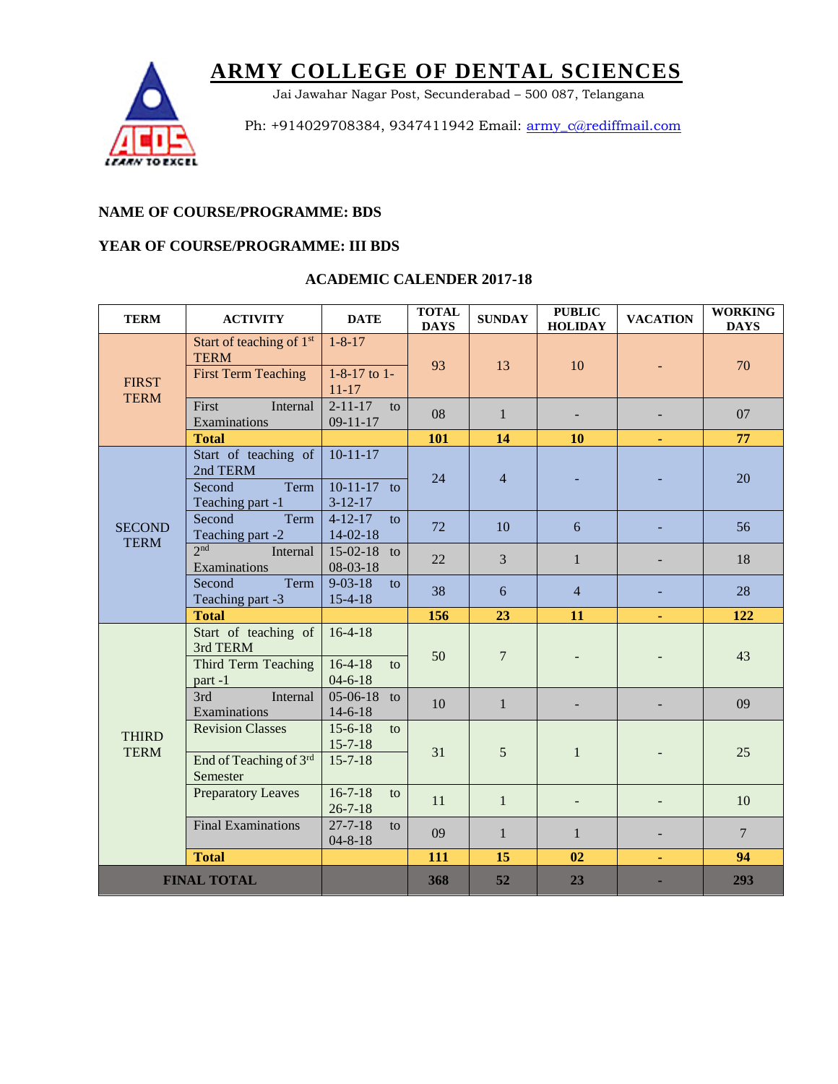

Jai Jawahar Nagar Post, Secunderabad – 500 087, Telangana

Ph: +914029708384, 9347411942 Email: [army\\_c@rediffmail.com](mailto:army_c@rediffmail.com)

## **NAME OF COURSE/PROGRAMME: BDS**

#### **YEAR OF COURSE/PROGRAMME: III BDS**

| <b>TERM</b>                  | <b>ACTIVITY</b>                                                         | <b>DATE</b>                                           | <b>TOTAL</b><br><b>DAYS</b> | <b>SUNDAY</b>  | <b>PUBLIC</b><br><b>HOLIDAY</b> | <b>VACATION</b> | <b>WORKING</b><br><b>DAYS</b> |
|------------------------------|-------------------------------------------------------------------------|-------------------------------------------------------|-----------------------------|----------------|---------------------------------|-----------------|-------------------------------|
| <b>FIRST</b><br><b>TERM</b>  | Start of teaching of $1st$<br><b>TERM</b><br><b>First Term Teaching</b> | $1 - 8 - 17$<br>$1 - 8 - 17$ to $1 -$<br>$11 - 17$    | 93                          | 13             | 10                              |                 | 70                            |
|                              | First<br>Internal<br>Examinations                                       | $2 - 11 - 17$<br>to<br>$09 - 11 - 17$                 | 08                          | $\mathbf{1}$   |                                 |                 | 07                            |
|                              | <b>Total</b>                                                            |                                                       | 101                         | 14             | 10                              | ٠               | 77                            |
| <b>SECOND</b><br><b>TERM</b> | Start of teaching of<br>2nd TERM<br>Second<br>Term<br>Teaching part -1  | $10 - 11 - 17$<br>$10-11-17$ to<br>$3-12-17$          | 24                          | $\overline{4}$ |                                 |                 | 20                            |
|                              | Term<br>Second<br>Teaching part -2                                      | $4 - 12 - 17$<br>to<br>$14-02-18$                     | 72                          | 10             | 6                               |                 | 56                            |
|                              | 2nd<br>Internal<br>Examinations                                         | 15-02-18 to<br>$08 - 03 - 18$                         | 22                          | $\overline{3}$ | 1                               |                 | 18                            |
|                              | Term<br>Second<br>Teaching part -3                                      | $9 - 03 - 18$<br>to<br>$15 - 4 - 18$                  | 38                          | 6              | $\overline{4}$                  |                 | 28                            |
|                              | <b>Total</b>                                                            |                                                       | 156                         | 23             | 11                              |                 | 122                           |
| <b>THIRD</b><br><b>TERM</b>  | Start of teaching of<br>3rd TERM<br>Third Term Teaching<br>part-1       | $16-4-18$<br>$16-4-18$<br>to<br>$04 - 6 - 18$         | 50                          | $\overline{7}$ |                                 |                 | 43                            |
|                              | 3rd<br>Internal<br>Examinations                                         | $05-06-18$ to<br>$14 - 6 - 18$                        | 10                          | $\mathbf{1}$   |                                 |                 | 09                            |
|                              | <b>Revision Classes</b><br>End of Teaching of 3rd<br>Semester           | $15 - 6 - 18$<br>to<br>$15 - 7 - 18$<br>$15 - 7 - 18$ | 31                          | 5              | $\mathbf{1}$                    |                 | 25                            |
|                              | <b>Preparatory Leaves</b>                                               | $16 - 7 - 18$<br>to<br>$26 - 7 - 18$                  | 11                          | $\mathbf{1}$   |                                 |                 | 10                            |
|                              | <b>Final Examinations</b>                                               | $27 - 7 - 18$<br>to<br>$04 - 8 - 18$                  | 09                          | $\mathbf{1}$   | $\mathbf{1}$                    |                 | $\overline{7}$                |
|                              | <b>Total</b>                                                            |                                                       | 111                         | 15             | 02                              | ٠               | 94                            |
| <b>FINAL TOTAL</b>           |                                                                         |                                                       | 368                         | 52             | 23                              |                 | 293                           |